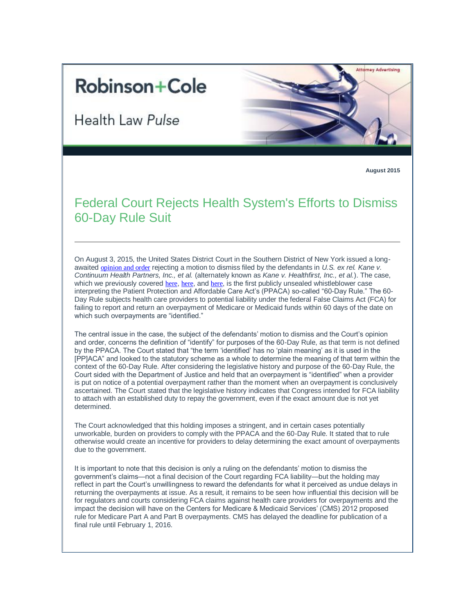## **Robinson+Cole**

**Health Law Pulse** 



**August 2015**

## Federal Court Rejects Health System's Efforts to Dismiss 60-Day Rule Suit

On August 3, 2015, the United States District Court in the Southern District of New York issued a longawaited [opinion and order](http://t2806904.omkt.co/track.aspx?id=402|2AD478|6F10|53E0|C2F|0|11BB|1|70155CA8&destination=http%3a%2f%2fcases.justia.com%2ffederal%2fdistrict-courts%2fnew-york%2fnysdce%2f1%3a2011cv02325%2f377919%2f63%2f0.pdf%3fts%3d1438693722&dchk=E40D37) rejecting a motion to dismiss filed by the defendants in *U.S. ex rel. Kane v. Continuum Health Partners, Inc., et al.* (alternately known as *Kane v. Healthfirst, Inc., et al.*). The case, which we previously covered [here](http://t2806904.omkt.co/track.aspx?id=402|2AD478|6F10|53E0|C2F|0|11BE|1|70155CA8&destination=http%3a%2f%2fwww.rc.com%2fnewsletters%2f2015%2fupload%2fLegal-Update_Health-Law-Pulse_3-2-15.pdf%3futm_source%3dVocus%26utm_medium%3demail%26utm_campaign%3dRobinson%2b%2526%2bCole%2bLLP%26utm_content%3dHealth%2bLaw%2bPulse%2b82015&dchk=782DE7A1), here, and here, is the first publicly unsealed whistleblower case interpreting the Patient Protection and Affordable Care Act's (PPACA) so-called "60-Day Rule." The 60- Day Rule subjects health care providers to potential liability under the federal False Claims Act (FCA) for failing to report and return an overpayment of Medicare or Medicaid funds within 60 days of the date on which such overpayments are "identified."

The central issue in the case, the subject of the defendants' motion to dismiss and the Court's opinion and order, concerns the definition of "identify" for purposes of the 60-Day Rule, as that term is not defined by the PPACA. The Court stated that "the term 'identified' has no 'plain meaning' as it is used in the [PP]ACA" and looked to the statutory scheme as a whole to determine the meaning of that term within the context of the 60-Day Rule. After considering the legislative history and purpose of the 60-Day Rule, the Court sided with the Department of Justice and held that an overpayment is "identified" when a provider is put on notice of a potential overpayment rather than the moment when an overpayment is conclusively ascertained. The Court stated that the legislative history indicates that Congress intended for FCA liability to attach with an established duty to repay the government, even if the exact amount due is not yet determined.

The Court acknowledged that this holding imposes a stringent, and in certain cases potentially unworkable, burden on providers to comply with the PPACA and the 60-Day Rule. It stated that to rule otherwise would create an incentive for providers to delay determining the exact amount of overpayments due to the government.

It is important to note that this decision is only a ruling on the defendants' motion to dismiss the government's claims—not a final decision of the Court regarding FCA liability—but the holding may reflect in part the Court's unwillingness to reward the defendants for what it perceived as undue delays in returning the overpayments at issue. As a result, it remains to be seen how influential this decision will be for regulators and courts considering FCA claims against health care providers for overpayments and the impact the decision will have on the Centers for Medicare & Medicaid Services' (CMS) 2012 proposed rule for Medicare Part A and Part B overpayments. CMS has delayed the deadline for publication of a final rule until February 1, 2016.